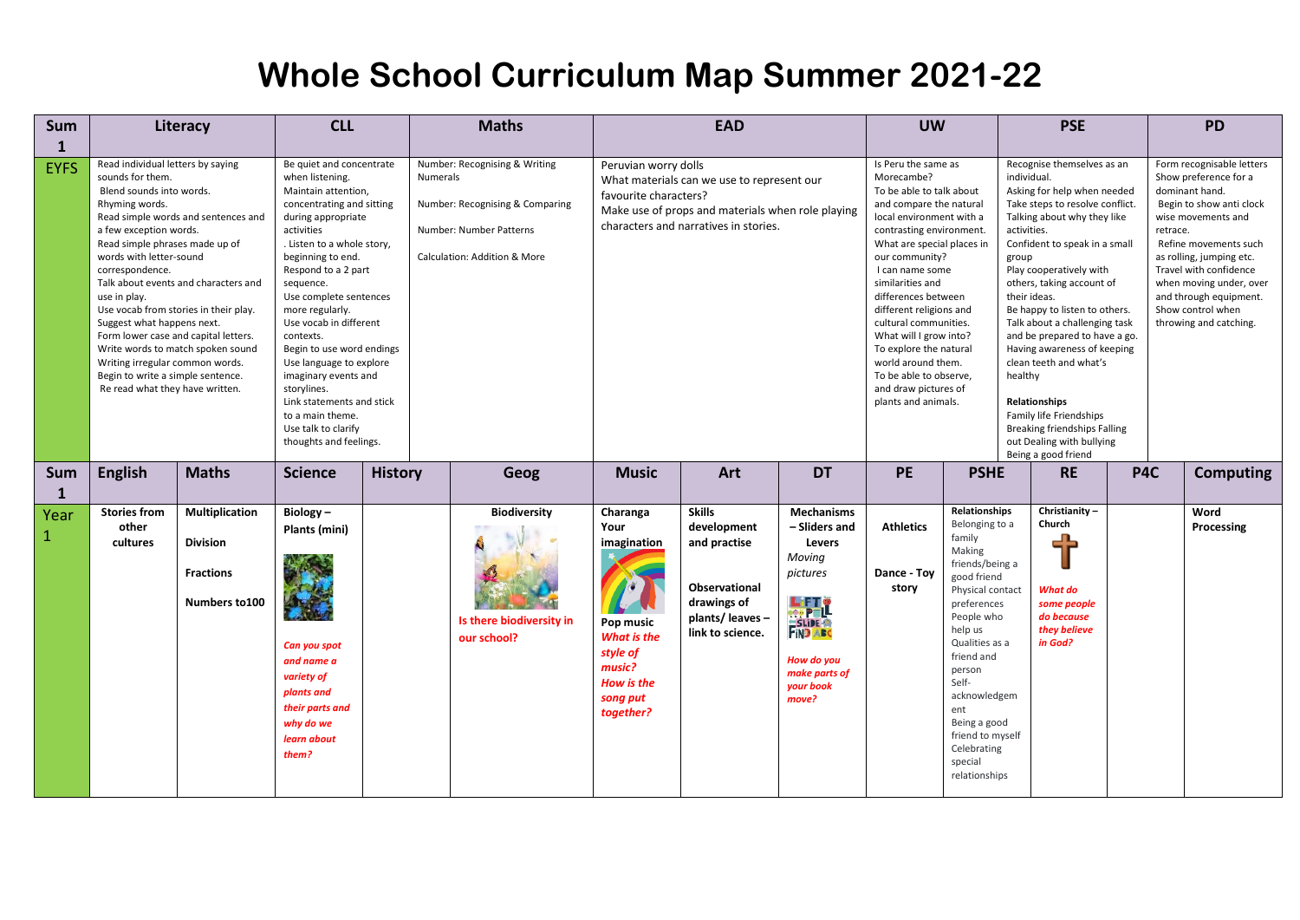| Sum                 |                                                                                                                                                                                                                                                                                                                                                                                                                                                                                                                                                                             | Literacy                                                                       | <b>CLL</b>                                                                                                                                                                                                                                                                                                                                                                                                                                                                                                                         |                | <b>Maths</b>                                                                                                                |                                                                                                                                                                                           | <b>EAD</b>                                                                                                                  |                                                                                                                                 |                                                                                                                                                                                                                                                                                                                                                                                                                                                                       | <b>UW</b>                                                                                                                                                                                                                                                                                                  |                                                                                                                                                                                                                                                                                                                                                                                                                                                                                                                                                                                           |     | <b>PD</b>                                                                                                                                                                                                                                                                                                             |  |
|---------------------|-----------------------------------------------------------------------------------------------------------------------------------------------------------------------------------------------------------------------------------------------------------------------------------------------------------------------------------------------------------------------------------------------------------------------------------------------------------------------------------------------------------------------------------------------------------------------------|--------------------------------------------------------------------------------|------------------------------------------------------------------------------------------------------------------------------------------------------------------------------------------------------------------------------------------------------------------------------------------------------------------------------------------------------------------------------------------------------------------------------------------------------------------------------------------------------------------------------------|----------------|-----------------------------------------------------------------------------------------------------------------------------|-------------------------------------------------------------------------------------------------------------------------------------------------------------------------------------------|-----------------------------------------------------------------------------------------------------------------------------|---------------------------------------------------------------------------------------------------------------------------------|-----------------------------------------------------------------------------------------------------------------------------------------------------------------------------------------------------------------------------------------------------------------------------------------------------------------------------------------------------------------------------------------------------------------------------------------------------------------------|------------------------------------------------------------------------------------------------------------------------------------------------------------------------------------------------------------------------------------------------------------------------------------------------------------|-------------------------------------------------------------------------------------------------------------------------------------------------------------------------------------------------------------------------------------------------------------------------------------------------------------------------------------------------------------------------------------------------------------------------------------------------------------------------------------------------------------------------------------------------------------------------------------------|-----|-----------------------------------------------------------------------------------------------------------------------------------------------------------------------------------------------------------------------------------------------------------------------------------------------------------------------|--|
| 1                   |                                                                                                                                                                                                                                                                                                                                                                                                                                                                                                                                                                             |                                                                                |                                                                                                                                                                                                                                                                                                                                                                                                                                                                                                                                    |                |                                                                                                                             |                                                                                                                                                                                           |                                                                                                                             |                                                                                                                                 |                                                                                                                                                                                                                                                                                                                                                                                                                                                                       |                                                                                                                                                                                                                                                                                                            |                                                                                                                                                                                                                                                                                                                                                                                                                                                                                                                                                                                           |     |                                                                                                                                                                                                                                                                                                                       |  |
| <b>EYFS</b>         | Read individual letters by saying<br>sounds for them.<br>Blend sounds into words.<br>Rhyming words.<br>Read simple words and sentences and<br>a few exception words.<br>Read simple phrases made up of<br>words with letter-sound<br>correspondence.<br>Talk about events and characters and<br>use in play.<br>Use vocab from stories in their play.<br>Suggest what happens next.<br>Form lower case and capital letters.<br>Write words to match spoken sound<br>Writing irregular common words.<br>Begin to write a simple sentence.<br>Re read what they have written. |                                                                                | Be quiet and concentrate<br>when listening.<br><b>Numerals</b><br>Maintain attention,<br>concentrating and sitting<br>during appropriate<br>activities<br>. Listen to a whole story,<br>beginning to end.<br>Respond to a 2 part<br>sequence.<br>Use complete sentences<br>more regularly.<br>Use vocab in different<br>contexts.<br>Begin to use word endings<br>Use language to explore<br>imaginary events and<br>storylines.<br>Link statements and stick<br>to a main theme.<br>Use talk to clarify<br>thoughts and feelings. |                | Number: Recognising & Writing<br>Number: Recognising & Comparing<br>Number: Number Patterns<br>Calculation: Addition & More | Peruvian worry dolls<br>What materials can we use to represent our<br>favourite characters?<br>Make use of props and materials when role playing<br>characters and narratives in stories. |                                                                                                                             |                                                                                                                                 | Is Peru the same as<br>Morecambe?<br>To be able to talk about<br>and compare the natural<br>local environment with a<br>contrasting environment.<br>What are special places in<br>our community?<br>I can name some<br>similarities and<br>differences between<br>different religions and<br>cultural communities.<br>What will I grow into?<br>To explore the natural<br>world around them.<br>To be able to observe,<br>and draw pictures of<br>plants and animals. |                                                                                                                                                                                                                                                                                                            | Recognise themselves as an<br>individual.<br>Asking for help when needed<br>Take steps to resolve conflict.<br>Talking about why they like<br>activities.<br>Confident to speak in a small<br>group<br>Play cooperatively with<br>others, taking account of<br>their ideas.<br>Be happy to listen to others.<br>Talk about a challenging task<br>and be prepared to have a go.<br>Having awareness of keeping<br>clean teeth and what's<br>healthy<br><b>Relationships</b><br>Family life Friendships<br>Breaking friendships Falling<br>out Dealing with bullying<br>Being a good friend |     | Form recognisable letters<br>Show preference for a<br>dominant hand.<br>Begin to show anti clock<br>wise movements and<br>retrace.<br>Refine movements such<br>as rolling, jumping etc.<br>Travel with confidence<br>when moving under, over<br>and through equipment.<br>Show control when<br>throwing and catching. |  |
| Sum<br>$\mathbf{1}$ | <b>English</b>                                                                                                                                                                                                                                                                                                                                                                                                                                                                                                                                                              | <b>Maths</b>                                                                   | <b>Science</b>                                                                                                                                                                                                                                                                                                                                                                                                                                                                                                                     | <b>History</b> | Geog                                                                                                                        | <b>Music</b>                                                                                                                                                                              | Art                                                                                                                         | <b>DT</b>                                                                                                                       | <b>PE</b>                                                                                                                                                                                                                                                                                                                                                                                                                                                             | <b>PSHE</b>                                                                                                                                                                                                                                                                                                | <b>RE</b>                                                                                                                                                                                                                                                                                                                                                                                                                                                                                                                                                                                 | P4C | <b>Computing</b>                                                                                                                                                                                                                                                                                                      |  |
| Year<br>-1          | <b>Stories from</b><br>other<br>cultures                                                                                                                                                                                                                                                                                                                                                                                                                                                                                                                                    | <b>Multiplication</b><br><b>Division</b><br><b>Fractions</b><br>Numbers to 100 | Biology-<br>Plants (mini)<br>Can you spot<br>and name a<br>variety of<br>plants and<br>their parts and<br>why do we<br>learn about<br>them?                                                                                                                                                                                                                                                                                                                                                                                        |                | <b>Biodiversity</b><br>Is there biodiversity in<br>our school?                                                              | Charanga<br>Your<br>imagination<br>Pop music<br>What is the<br>style of<br>music?<br>How is the<br>song put<br>together?                                                                  | <b>Skills</b><br>development<br>and practise<br><b>Observational</b><br>drawings of<br>plants/ leaves -<br>link to science. | <b>Mechanisms</b><br>- Sliders and<br>Levers<br>Moving<br>pictures<br>LETT<br>How do you<br>make parts of<br>your book<br>move? | <b>Athletics</b><br>Dance Toy<br>story                                                                                                                                                                                                                                                                                                                                                                                                                                | Relationships<br>Belonging to a<br>family<br>Making<br>friends/being a<br>good friend<br>Physical contact<br>preferences<br>People who<br>help us<br>Qualities as a<br>friend and<br>person<br>Self-<br>acknowledgem<br>ent<br>Being a good<br>friend to myself<br>Celebrating<br>special<br>relationships | Christianity-<br>Church<br>What do<br>some people<br>do because<br>they believe<br>in God?                                                                                                                                                                                                                                                                                                                                                                                                                                                                                                |     | Word<br>Processing                                                                                                                                                                                                                                                                                                    |  |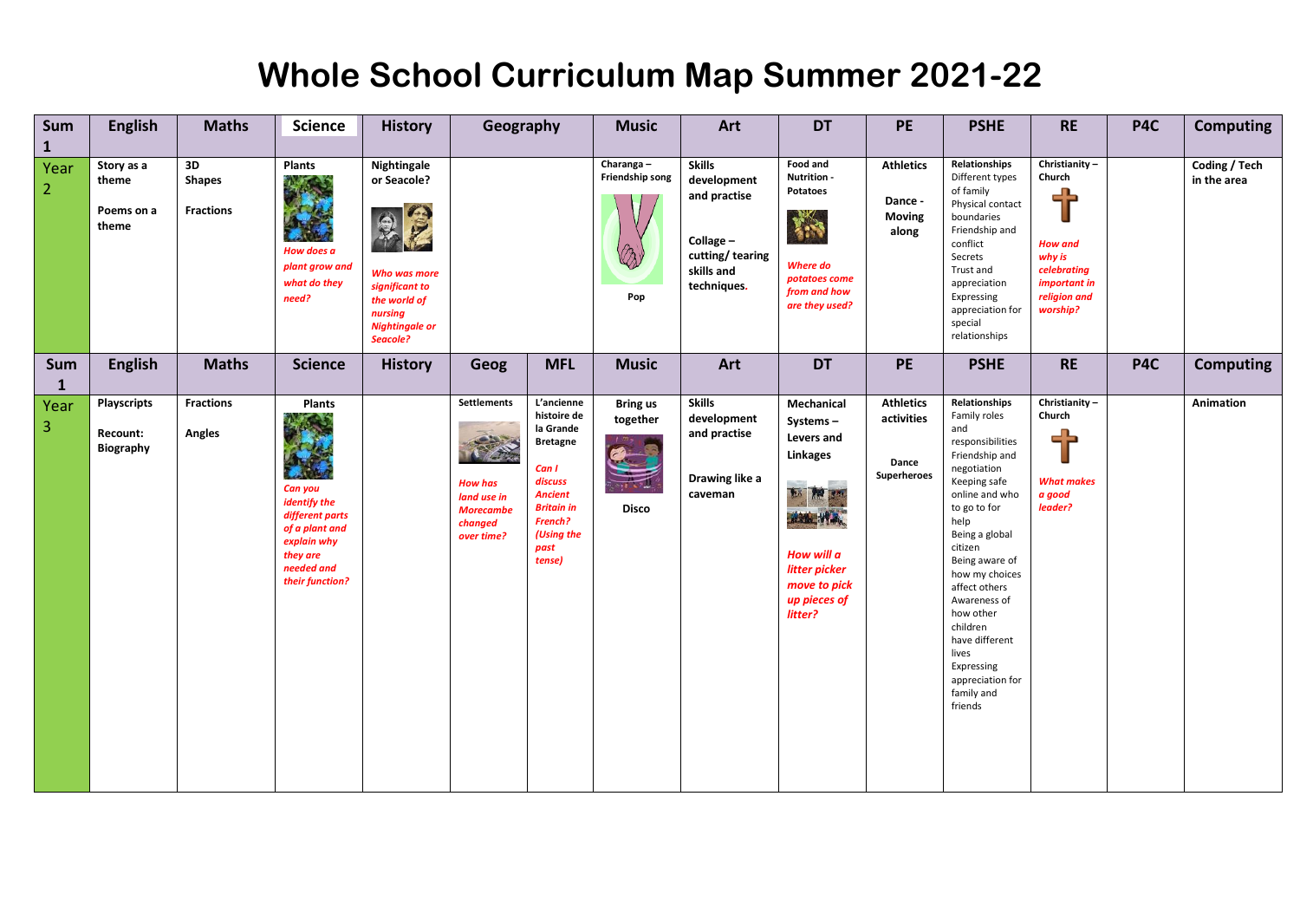| Sum<br>$\mathbf{1}$    | <b>English</b>                              | <b>Maths</b>                            | <b>Science</b>                                                                                                                     | <b>History</b>                                                                                                               |                                                                                                  | Geography                                                                                                                                                       |                                             | Art                                                                                                       | <b>DT</b>                                                                                                                                                   | <b>PE</b>                                              | <b>PSHE</b>                                                                                                                                                                                                                                                                                                                                                          | <b>RE</b>                                                                                                           | P4C | <b>Computing</b>             |
|------------------------|---------------------------------------------|-----------------------------------------|------------------------------------------------------------------------------------------------------------------------------------|------------------------------------------------------------------------------------------------------------------------------|--------------------------------------------------------------------------------------------------|-----------------------------------------------------------------------------------------------------------------------------------------------------------------|---------------------------------------------|-----------------------------------------------------------------------------------------------------------|-------------------------------------------------------------------------------------------------------------------------------------------------------------|--------------------------------------------------------|----------------------------------------------------------------------------------------------------------------------------------------------------------------------------------------------------------------------------------------------------------------------------------------------------------------------------------------------------------------------|---------------------------------------------------------------------------------------------------------------------|-----|------------------------------|
| Year<br>$\overline{2}$ | Story as a<br>theme<br>Poems on a<br>theme  | 3D<br><b>Shapes</b><br><b>Fractions</b> | Plants<br>How does a<br>plant grow and<br>what do they<br>need?                                                                    | Nightingale<br>or Seacole?<br>Who was more<br>significant to<br>the world of<br>nursing<br><b>Nightingale or</b><br>Seacole? |                                                                                                  |                                                                                                                                                                 | Charanga-<br>Friendship song<br>Pop         | <b>Skills</b><br>development<br>and practise<br>Collage -<br>cutting/tearing<br>skills and<br>techniques. | Food and<br>Nutrition -<br>Potatoes<br>稀<br>Where do<br>potatoes come<br>from and how<br>are they used?                                                     | <b>Athletics</b><br>Dance -<br><b>Moving</b><br>along  | Relationships<br>Different types<br>of family<br>Physical contact<br>boundaries<br>Friendship and<br>conflict<br>Secrets<br>Trust and<br>appreciation<br>Expressing<br>appreciation for<br>special<br>relationships                                                                                                                                                  | Christianity-<br>Church<br>╬<br><b>How and</b><br>why is<br>celebrating<br>important in<br>religion and<br>worship? |     | Coding / Tech<br>in the area |
| Sum<br>$\mathbf{1}$    | <b>English</b>                              | <b>Maths</b>                            | <b>Science</b>                                                                                                                     | <b>History</b>                                                                                                               | Geog                                                                                             | <b>MFL</b>                                                                                                                                                      | <b>Music</b>                                | Art                                                                                                       | <b>DT</b>                                                                                                                                                   | <b>PE</b>                                              | <b>PSHE</b>                                                                                                                                                                                                                                                                                                                                                          | <b>RE</b>                                                                                                           | P4C | <b>Computing</b>             |
| Year<br>$\vert$ 3      | <b>Playscripts</b><br>Recount:<br>Biography | <b>Fractions</b><br>Angles              | Plants<br>Can you<br>identify the<br>different parts<br>of a plant and<br>explain why<br>they are<br>needed and<br>their function? |                                                                                                                              | <b>Settlements</b><br><b>How has</b><br>land use in<br><b>Morecambe</b><br>changed<br>over time? | L'ancienne<br>histoire de<br>la Grande<br><b>Bretagne</b><br>Can I<br>discuss<br><b>Ancient</b><br><b>Britain in</b><br>French?<br>(Using the<br>past<br>tense) | <b>Bring us</b><br>together<br><b>Disco</b> | <b>Skills</b><br>development<br>and practise<br>Drawing like a<br>caveman                                 | Mechanical<br>Systems-<br>Levers and<br><b>Linkages</b><br>the fire sm<br>mille W<br>How will a<br>litter picker<br>move to pick<br>up pieces of<br>litter? | <b>Athletics</b><br>activities<br>Dance<br>Superheroes | Relationships<br>Family roles<br>and<br>responsibilities<br>Friendship and<br>negotiation<br>Keeping safe<br>online and who<br>to go to for<br>help<br>Being a global<br>citizen<br>Being aware of<br>how my choices<br>affect others<br>Awareness of<br>how other<br>children<br>have different<br>lives<br>Expressing<br>appreciation for<br>family and<br>friends | Christianity-<br>Church<br><b>What makes</b><br>a good<br>leader?                                                   |     | Animation                    |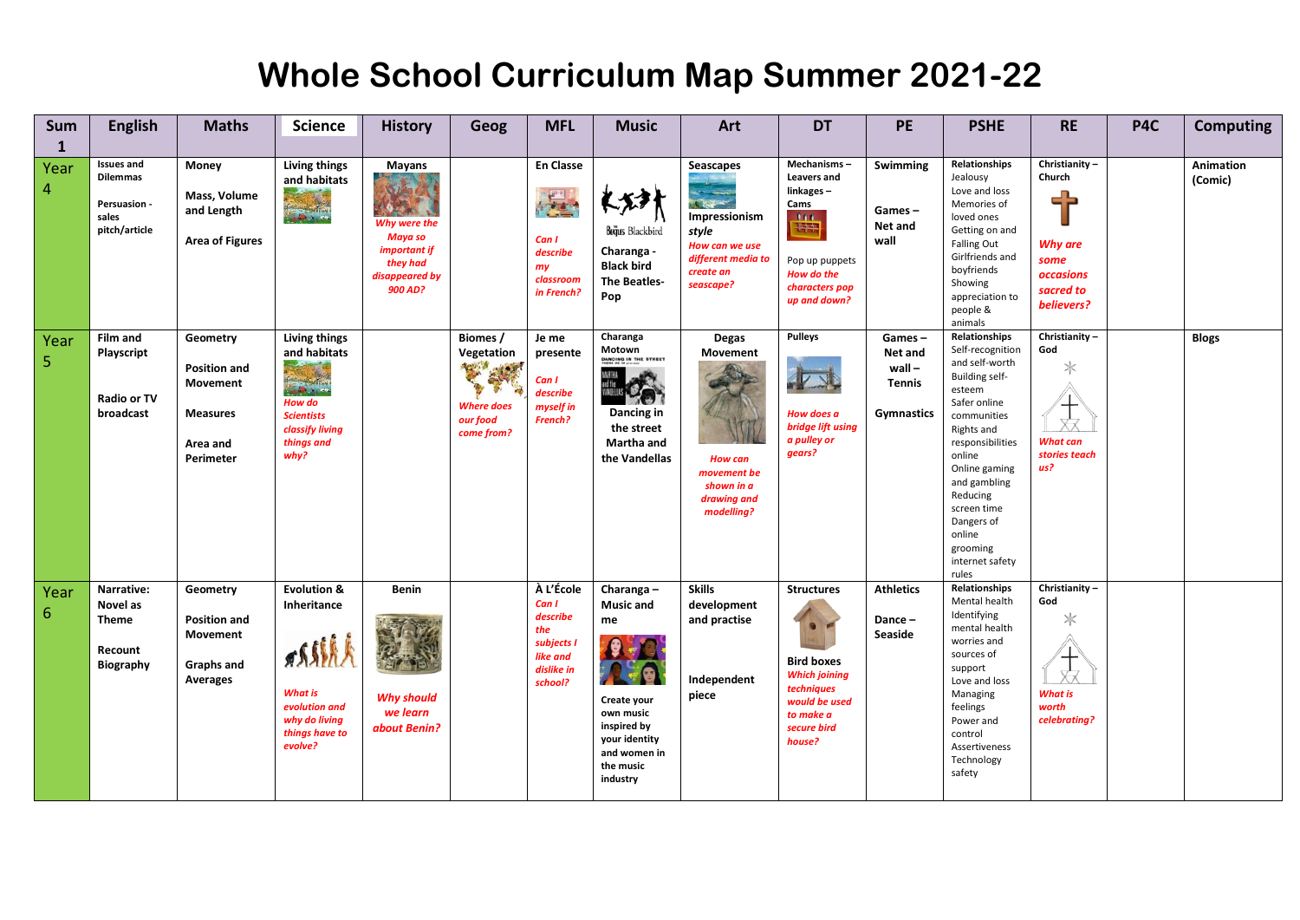| <b>Sum</b><br>$\mathbf{1}$ | <b>English</b>                                                          | <b>Maths</b>                                                                            | <b>Science</b>                                                                                                                                                     | <b>History</b>                                                                                                        | Geog                                                                           | <b>MFL</b>                                                                               | <b>Music</b>                                                                                                                             | Art                                                                                                                                    | <b>DT</b>                                                                                                                                      | PE                                                                  | <b>PSHE</b>                                                                                                                                                                                                                                                                            | <b>RE</b>                                                                          | P4C | <b>Computing</b>     |
|----------------------------|-------------------------------------------------------------------------|-----------------------------------------------------------------------------------------|--------------------------------------------------------------------------------------------------------------------------------------------------------------------|-----------------------------------------------------------------------------------------------------------------------|--------------------------------------------------------------------------------|------------------------------------------------------------------------------------------|------------------------------------------------------------------------------------------------------------------------------------------|----------------------------------------------------------------------------------------------------------------------------------------|------------------------------------------------------------------------------------------------------------------------------------------------|---------------------------------------------------------------------|----------------------------------------------------------------------------------------------------------------------------------------------------------------------------------------------------------------------------------------------------------------------------------------|------------------------------------------------------------------------------------|-----|----------------------|
| Year<br>4                  | <b>Issues and</b><br>Dilemmas<br>Persuasion -<br>sales<br>pitch/article | Money<br>Mass, Volume<br>and Length<br><b>Area of Figures</b>                           | Living things<br>and habitats                                                                                                                                      | <b>Mayans</b><br><b>SE Lillen</b><br>Why were the<br>Maya so<br>important if<br>they had<br>disappeared by<br>900 AD? |                                                                                | <b>En Classe</b><br>Can I<br>describe<br>my<br>classroom<br>in French?                   | Bujus Blackbird<br>Charanga -<br><b>Black bird</b><br><b>The Beatles-</b><br>Pop                                                         | <b>Seascapes</b><br>$ \frac{1}{2}$<br>1244<br>Impressionism<br>style<br>How can we use<br>different media to<br>create an<br>seascape? | Mechanisms -<br><b>Leavers and</b><br>linkages-<br>Cams<br>$\mathbf{m}$<br>H<br>Pop up puppets<br>How do the<br>characters pop<br>up and down? | Swimming<br>Games-<br>Net and<br>wall                               | Relationships<br>Jealousy<br>Love and loss<br>Memories of<br>loved ones<br>Getting on and<br><b>Falling Out</b><br>Girlfriends and<br>boyfriends<br>Showing<br>appreciation to<br>people &<br>animals                                                                                  | Christianity-<br>Church<br>Why are<br>some<br>occasions<br>sacred to<br>believers? |     | Animation<br>(Comic) |
| Year<br>5                  | <b>Film and</b><br>Playscript<br><b>Radio or TV</b><br>broadcast        | Geometry<br><b>Position and</b><br>Movement<br><b>Measures</b><br>Area and<br>Perimeter | Living things<br>and habitats<br><b>Court Line</b><br><b><i>Contract of the Second</i></b><br>How do<br><b>Scientists</b><br>classify living<br>things and<br>why? |                                                                                                                       | Biomes /<br>Vegetation<br>R. W.<br><b>Where does</b><br>our food<br>come from? | Je me<br>presente<br>Can I<br>describe<br>myself in<br>French?                           | Charanga<br>Motown<br>DANCING IN THE STREET<br>Dancing in<br>the street<br>Martha and<br>the Vandellas                                   | Degas<br>Movement<br><b>How can</b><br>movement be<br>shown in a<br>drawing and<br>modelling?                                          | <b>Pulleys</b><br>How does a<br>bridge lift using<br>a pulley or<br>gears?                                                                     | Games-<br>Net and<br>$wall -$<br><b>Tennis</b><br><b>Gymnastics</b> | Relationships<br>Self-recognition<br>and self-worth<br>Building self-<br>esteem<br>Safer online<br>communities<br>Rights and<br>responsibilities<br>online<br>Online gaming<br>and gambling<br>Reducing<br>screen time<br>Dangers of<br>online<br>grooming<br>internet safety<br>rules | Christianity-<br>God<br>$\ast$<br><b>What can</b><br>stories teach<br>us?          |     | <b>Blogs</b>         |
| Year<br>6                  | Narrative:<br>Novel as<br>Theme<br>Recount<br><b>Biography</b>          | Geometry<br><b>Position and</b><br>Movement<br>Graphs and<br><b>Averages</b>            | <b>Evolution &amp;</b><br>Inheritance<br>ossish.<br><b>What is</b><br>evolution and<br>why do living<br>things have to<br>evolve?                                  | <b>Benin</b><br><b>Why should</b><br>we learn<br>about Benin?                                                         |                                                                                | À L'École<br>Can I<br>describe<br>the<br>subjects I<br>like and<br>dislike in<br>school? | Charanga-<br><b>Music and</b><br>me<br>Create your<br>own music<br>inspired by<br>your identity<br>and women in<br>the music<br>industry | <b>Skills</b><br>development<br>and practise<br>Independent<br>piece                                                                   | <b>Structures</b><br><b>Bird boxes</b><br><b>Which joining</b><br>techniques<br>would be used<br>to make a<br>secure bird<br>house?            | <b>Athletics</b><br>Dance-<br>Seaside                               | Relationships<br>Mental health<br>Identifying<br>mental health<br>worries and<br>sources of<br>support<br>Love and loss<br>Managing<br>feelings<br>Power and<br>control<br>Assertiveness<br>Technology<br>safety                                                                       | Christianity -<br>God<br>$*\,$<br><b>What is</b><br>worth<br>celebrating?          |     |                      |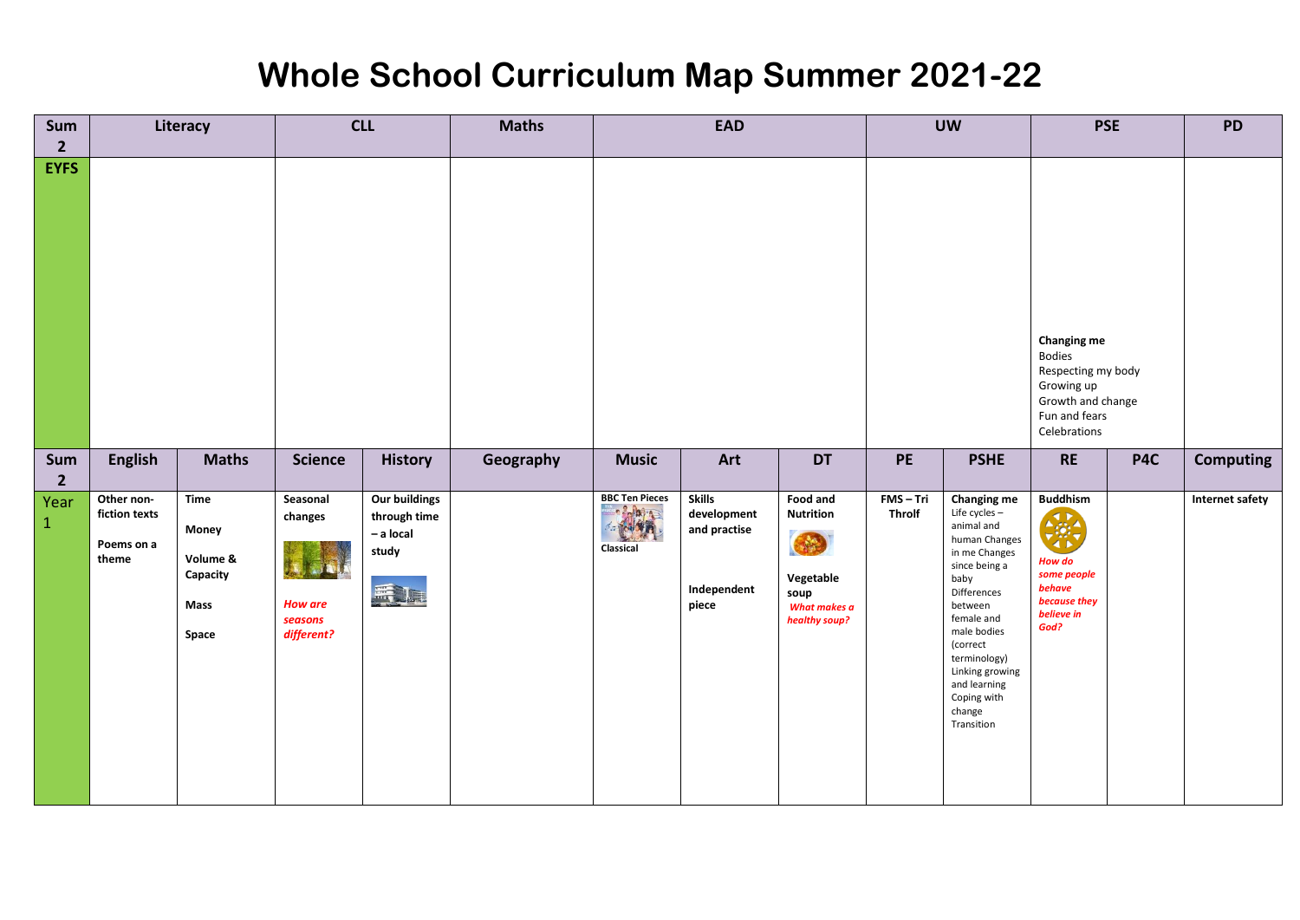| Sum<br>$\overline{2}$ | Literacy                                           |                                                                      | <b>CLL</b>                                                     |                                                                  | <b>Maths</b> |                                         | <b>EAD</b>                                                           |                                                                                                                           | <b>UW</b>                | <b>PSE</b>                                                                                                                                                                                                                                                                |                                                                                                       | <b>PD</b> |                  |
|-----------------------|----------------------------------------------------|----------------------------------------------------------------------|----------------------------------------------------------------|------------------------------------------------------------------|--------------|-----------------------------------------|----------------------------------------------------------------------|---------------------------------------------------------------------------------------------------------------------------|--------------------------|---------------------------------------------------------------------------------------------------------------------------------------------------------------------------------------------------------------------------------------------------------------------------|-------------------------------------------------------------------------------------------------------|-----------|------------------|
| <b>EYFS</b>           |                                                    |                                                                      |                                                                |                                                                  |              |                                         |                                                                      |                                                                                                                           |                          | <b>Changing me</b><br><b>Bodies</b><br>Respecting my body<br>Growing up<br>Growth and change<br>Fun and fears<br>Celebrations                                                                                                                                             |                                                                                                       |           |                  |
| Sum<br>$\overline{2}$ | <b>English</b>                                     | <b>Maths</b>                                                         | <b>Science</b>                                                 | <b>History</b>                                                   | Geography    | <b>Music</b>                            | Art                                                                  | <b>DT</b>                                                                                                                 | PE                       | <b>PSHE</b>                                                                                                                                                                                                                                                               | <b>RE</b>                                                                                             | P4C       | <b>Computing</b> |
| Year<br>$\mathbf{1}$  | Other non-<br>fiction texts<br>Poems on a<br>theme | Time<br><b>Money</b><br>Volume &<br>Capacity<br><b>Mass</b><br>Space | Seasonal<br>changes<br><b>How are</b><br>seasons<br>different? | <b>Our buildings</b><br>through time<br>- a local<br>study<br>馬尾 |              | <b>BBC Ten Pieces</b><br>神<br>Classical | <b>Skills</b><br>development<br>and practise<br>Independent<br>piece | Food and<br><b>Nutrition</b><br>$\left( \frac{1}{2} \right)$<br>Vegetable<br>soup<br><b>What makes a</b><br>healthy soup? | FMS-Tri<br><b>Throlf</b> | <b>Changing me</b><br>Life cycles -<br>animal and<br>human Changes<br>in me Changes<br>since being a<br>baby<br>Differences<br>between<br>female and<br>male bodies<br>(correct<br>terminology)<br>Linking growing<br>and learning<br>Coping with<br>change<br>Transition | <b>Buddhism</b><br>美美<br>∢ ⊳<br>How do<br>some people<br>behave<br>because they<br>believe in<br>God? |           | Internet safety  |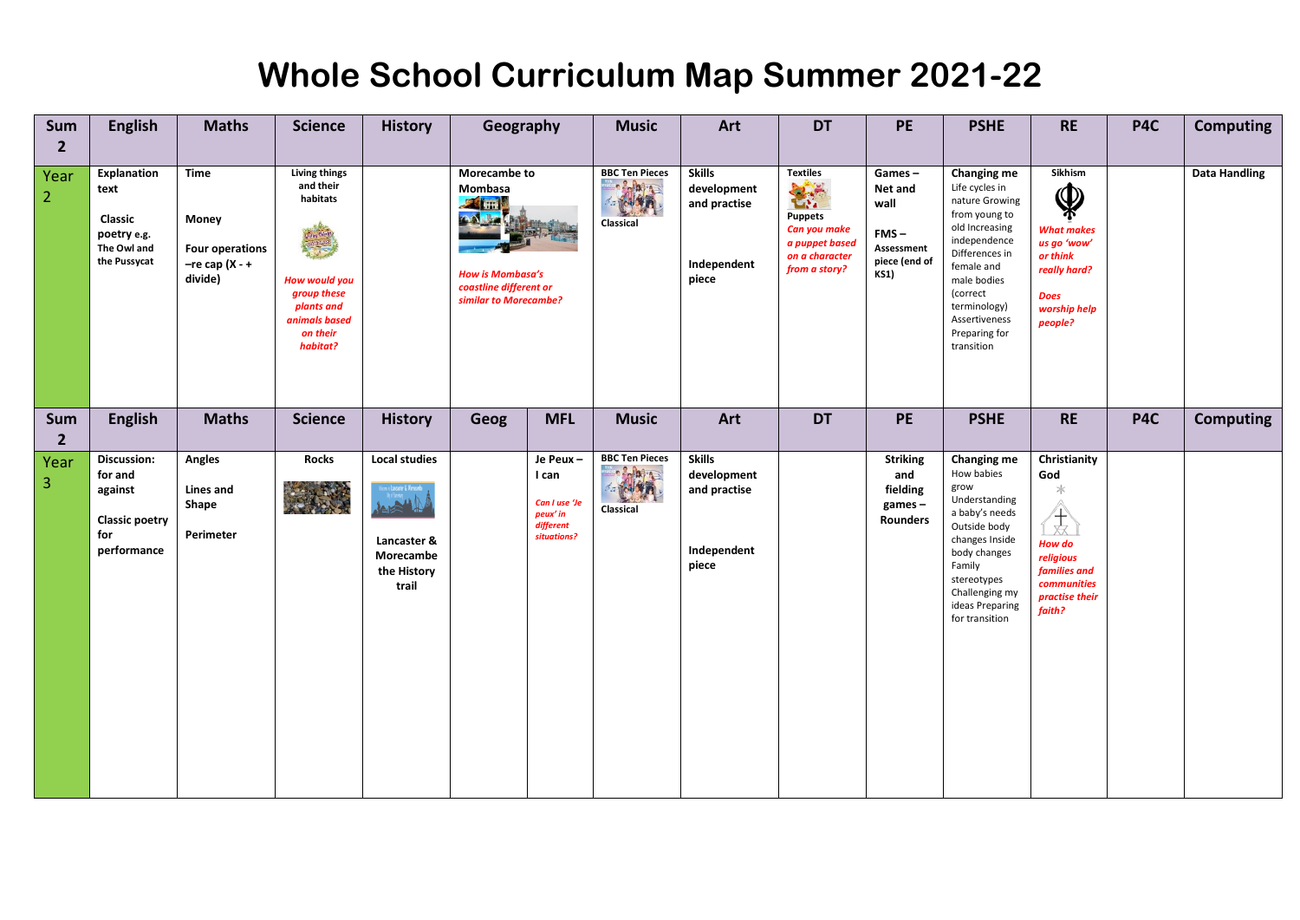| Sum<br>$\overline{2}$  | <b>English</b>                                                                      | <b>Maths</b>                                                                   | <b>Science</b>                                                                                                                       | <b>History</b>                                                           | Geography                                                                                                             |                                                                            | <b>Music</b>                                                          | Art                                                                  | <b>DT</b>                                                                                                      | PE                                                                                 | <b>PSHE</b>                                                                                                                                                                                                                   | <b>RE</b>                                                                                                                        | P4C | <b>Computing</b>     |
|------------------------|-------------------------------------------------------------------------------------|--------------------------------------------------------------------------------|--------------------------------------------------------------------------------------------------------------------------------------|--------------------------------------------------------------------------|-----------------------------------------------------------------------------------------------------------------------|----------------------------------------------------------------------------|-----------------------------------------------------------------------|----------------------------------------------------------------------|----------------------------------------------------------------------------------------------------------------|------------------------------------------------------------------------------------|-------------------------------------------------------------------------------------------------------------------------------------------------------------------------------------------------------------------------------|----------------------------------------------------------------------------------------------------------------------------------|-----|----------------------|
| Year<br>$\overline{2}$ | <b>Explanation</b><br>text<br>Classic<br>poetry e.g.<br>The Owl and<br>the Pussycat | <b>Time</b><br>Money<br><b>Four operations</b><br>$-$ re cap (X - +<br>divide) | <b>Living things</b><br>and their<br>habitats<br>How would you<br>group these<br>plants and<br>animals based<br>on their<br>habitat? |                                                                          | Morecambe to<br>Mombasa<br><b>24 HH</b><br><b>How is Mombasa's</b><br>coastline different or<br>similar to Morecambe? |                                                                            | <b>BBC Ten Pieces</b><br>$-\frac{2}{\pi}$<br><b>MAIN</b><br>Classical | <b>Skills</b><br>development<br>and practise<br>Independent<br>piece | <b>Textiles</b><br><b>TANK</b><br>Puppets<br>Can you make<br>a puppet based<br>on a character<br>from a story? | Games-<br>Net and<br>wall<br>$FMS -$<br>Assessment<br>piece (end of<br><b>KS1)</b> | Changing me<br>Life cycles in<br>nature Growing<br>from young to<br>old Increasing<br>independence<br>Differences in<br>female and<br>male bodies<br>(correct<br>terminology)<br>Assertiveness<br>Preparing for<br>transition | Sikhism<br>$\pmb{\mathbb{Q}}$<br><b>What makes</b><br>us go 'wow'<br>or think<br>really hard?<br>Does<br>worship help<br>people? |     | <b>Data Handling</b> |
| Sum<br>$\overline{2}$  | <b>English</b>                                                                      | <b>Maths</b>                                                                   | <b>Science</b>                                                                                                                       | <b>History</b>                                                           | Geog                                                                                                                  | <b>MFL</b>                                                                 | <b>Music</b>                                                          | Art                                                                  | <b>DT</b>                                                                                                      | PE                                                                                 | <b>PSHE</b>                                                                                                                                                                                                                   | <b>RE</b>                                                                                                                        | P4C | <b>Computing</b>     |
| Year<br>3              | Discussion:<br>for and<br>against<br><b>Classic poetry</b><br>for<br>performance    | Angles<br>Lines and<br>Shape<br>Perimeter                                      | <b>Rocks</b><br>安全                                                                                                                   | <b>Local studies</b><br>Lancaster &<br>Morecambe<br>the History<br>trail |                                                                                                                       | Je Peux-<br>I can<br>Can I use 'Je<br>peux' in<br>different<br>situations? | <b>BBC Ten Pieces</b><br><b>Belain</b><br><b>MAN</b><br>Classical     | <b>Skills</b><br>development<br>and practise<br>Independent<br>piece |                                                                                                                | <b>Striking</b><br>and<br>fielding<br>$games -$<br>Rounders                        | Changing me<br>How babies<br>grow<br>Understanding<br>a baby's needs<br>Outside body<br>changes Inside<br>body changes<br>Family<br>stereotypes<br>Challenging my<br>ideas Preparing<br>for transition                        | Christianity<br>God<br>$\ast$<br>☆<br>How do<br>religious<br>families and<br>communities<br>practise their<br>faith?             |     |                      |